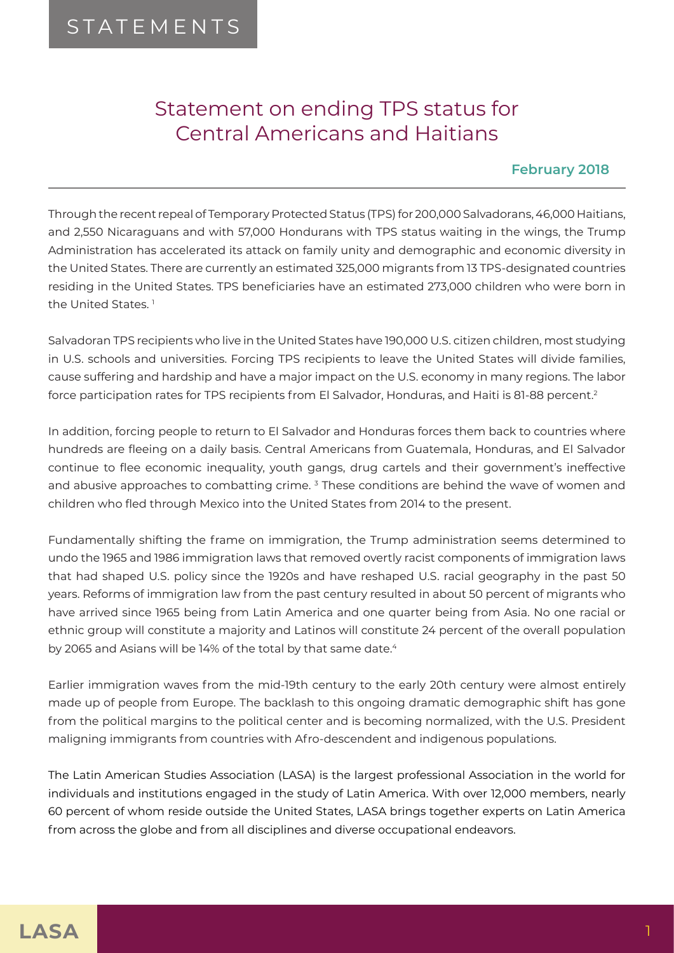## Statement on ending TPS status for Central Americans and Haitians

## **February 2018**

Through the recent repeal of Temporary Protected Status (TPS) for 200,000 Salvadorans, 46,000 Haitians, and 2,550 Nicaraguans and with 57,000 Hondurans with TPS status waiting in the wings, the Trump Administration has accelerated its attack on family unity and demographic and economic diversity in the United States. There are currently an estimated 325,000 migrants from 13 TPS-designated countries residing in the United States. TPS beneficiaries have an estimated 273,000 children who were born in the United States.<sup>1</sup>

Salvadoran TPS recipients who live in the United States have 190,000 U.S. citizen children, most studying in U.S. schools and universities. Forcing TPS recipients to leave the United States will divide families, cause suffering and hardship and have a major impact on the U.S. economy in many regions. The labor force participation rates for TPS recipients from El Salvador, Honduras, and Haiti is 81-88 percent.2

In addition, forcing people to return to El Salvador and Honduras forces them back to countries where hundreds are fleeing on a daily basis. Central Americans from Guatemala, Honduras, and El Salvador continue to flee economic inequality, youth gangs, drug cartels and their government's ineffective and abusive approaches to combatting crime. <sup>3</sup> These conditions are behind the wave of women and children who fled through Mexico into the United States from 2014 to the present.

Fundamentally shifting the frame on immigration, the Trump administration seems determined to undo the 1965 and 1986 immigration laws that removed overtly racist components of immigration laws that had shaped U.S. policy since the 1920s and have reshaped U.S. racial geography in the past 50 years. Reforms of immigration law from the past century resulted in about 50 percent of migrants who have arrived since 1965 being from Latin America and one quarter being from Asia. No one racial or ethnic group will constitute a majority and Latinos will constitute 24 percent of the overall population by 2065 and Asians will be 14% of the total by that same date.<sup>4</sup>

Earlier immigration waves from the mid-19th century to the early 20th century were almost entirely made up of people from Europe. The backlash to this ongoing dramatic demographic shift has gone from the political margins to the political center and is becoming normalized, with the U.S. President maligning immigrants from countries with Afro-descendent and indigenous populations.

The Latin American Studies Association (LASA) is the largest professional Association in the world for individuals and institutions engaged in the study of Latin America. With over 12,000 members, nearly 60 percent of whom reside outside the United States, LASA brings together experts on Latin America from across the globe and from all disciplines and diverse occupational endeavors.